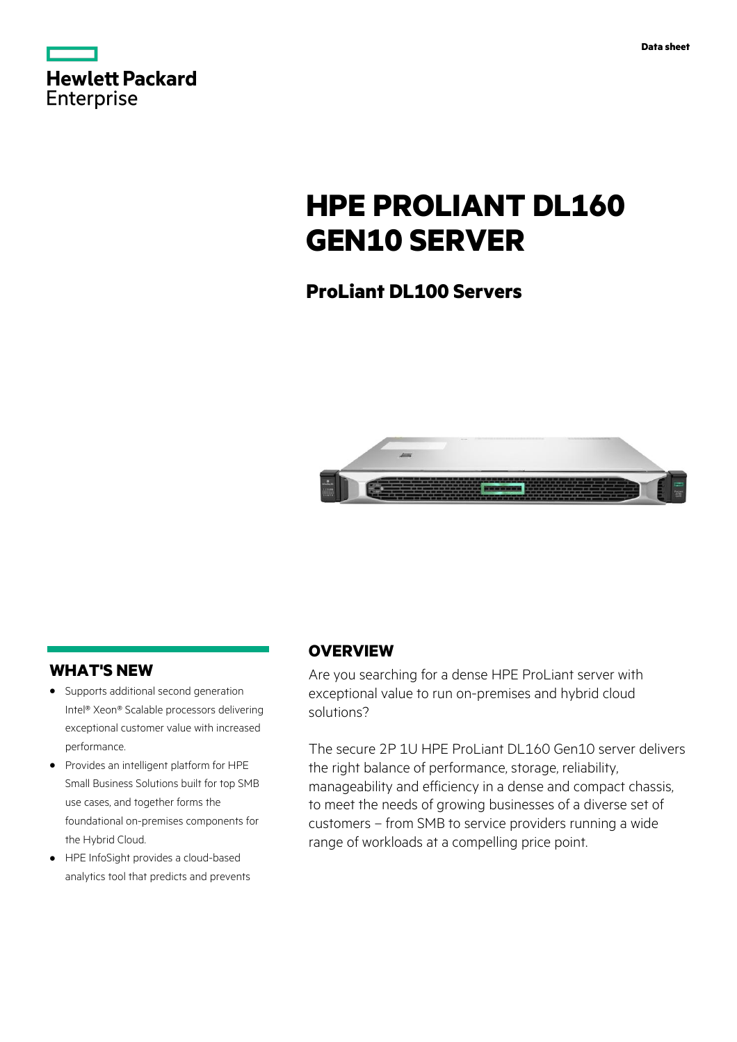| <b>Hewlett Packard</b> |  |  |
|------------------------|--|--|
| Enterprise             |  |  |

# **HPE PROLIANT DL160 GEN10 SERVER**

**ProLiant DL100 Servers**



## **WHAT'S NEW**

- **·** Supports additional second generation Intel® Xeon® Scalable processors delivering exceptional customer value with increased performance.
- **·** Provides an intelligent platform for HPE Small Business Solutions built for top SMB use cases, and together forms the foundational on-premises components for the Hybrid Cloud.
- **·** HPE InfoSight provides a cloud-based analytics tool that predicts and prevents

## **OVERVIEW**

Are you searching for a dense HPE ProLiant server with exceptional value to run on-premises and hybrid cloud solutions?

The secure 2P 1U HPE ProLiant DL160 Gen10 server delivers the right balance of performance, storage, reliability, manageability and efficiency in a dense and compact chassis, to meet the needs of growing businesses of a diverse set of customers – from SMB to service providers running a wide range of workloads at a compelling price point.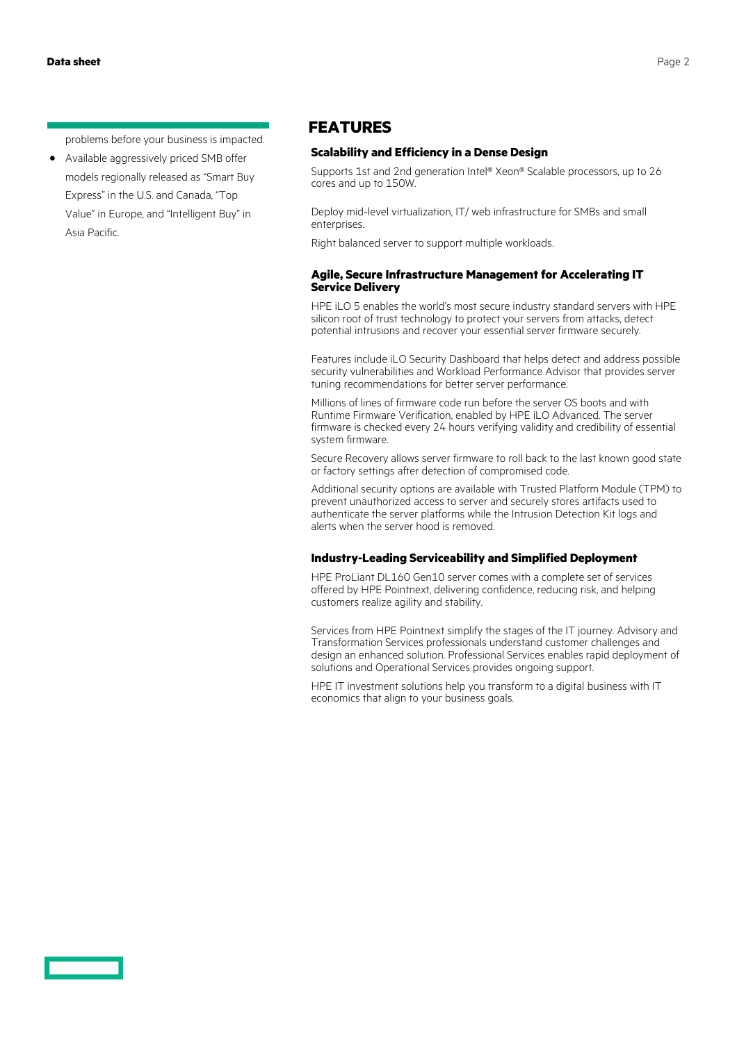problems before your business is impacted.

**·** Available aggressively priced SMB offer models regionally released as "Smart Buy Express" in the U.S. and Canada, "Top Value" in Europe, and "Intelligent Buy" in Asia Pacific.

### **FEATURES**

### **Scalability and Efficiency in a Dense Design**

Supports 1st and 2nd generation Intel® Xeon® Scalable processors, up to 26 cores and up to 150W.

Deploy mid-level virtualization, IT/ web infrastructure for SMBs and small enterprises.

Right balanced server to support multiple workloads.

### **Agile, Secure Infrastructure Management for Accelerating IT Service Delivery**

HPE iLO 5 enables the world's most secure industry standard servers with HPE silicon root of trust technology to protect your servers from attacks, detect potential intrusions and recover your essential server firmware securely.

Features include iLO Security Dashboard that helps detect and address possible security vulnerabilities and Workload Performance Advisor that provides server tuning recommendations for better server performance.

Millions of lines of firmware code run before the server OS boots and with Runtime Firmware Verification, enabled by HPE iLO Advanced. The server firmware is checked every 24 hours verifying validity and credibility of essential system firmware.

Secure Recovery allows server firmware to roll back to the last known good state or factory settings after detection of compromised code.

Additional security options are available with Trusted Platform Module (TPM) to prevent unauthorized access to server and securely stores artifacts used to authenticate the server platforms while the Intrusion Detection Kit logs and alerts when the server hood is removed.

### **Industry-Leading Serviceability and Simplified Deployment**

HPE ProLiant DL160 Gen10 server comes with a complete set of services offered by HPE Pointnext, delivering confidence, reducing risk, and helping customers realize agility and stability.

Services from HPE Pointnext simplify the stages of the IT journey. Advisory and Transformation Services professionals understand customer challenges and design an enhanced solution. Professional Services enables rapid deployment of solutions and Operational Services provides ongoing support.

HPE IT investment solutions help you transform to a digital business with IT economics that align to your business goals.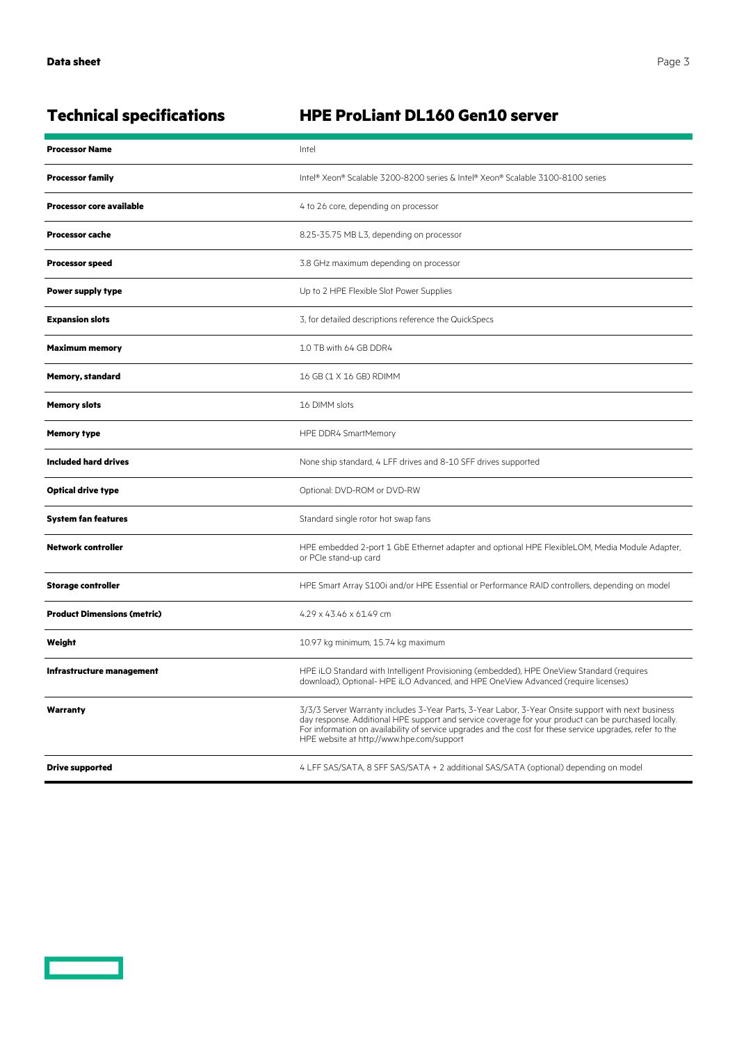$\overline{\phantom{0}}$ 

## **Technical specifications HPE ProLiant DL160 Gen10 server**

| <b>Processor Name</b>              | Intel                                                                                                                                                                                                                                                                                                                                                                 |  |
|------------------------------------|-----------------------------------------------------------------------------------------------------------------------------------------------------------------------------------------------------------------------------------------------------------------------------------------------------------------------------------------------------------------------|--|
| <b>Processor family</b>            | Intel® Xeon® Scalable 3200-8200 series & Intel® Xeon® Scalable 3100-8100 series                                                                                                                                                                                                                                                                                       |  |
| <b>Processor core available</b>    | 4 to 26 core, depending on processor                                                                                                                                                                                                                                                                                                                                  |  |
| <b>Processor cache</b>             | 8.25-35.75 MB L3, depending on processor                                                                                                                                                                                                                                                                                                                              |  |
| <b>Processor speed</b>             | 3.8 GHz maximum depending on processor                                                                                                                                                                                                                                                                                                                                |  |
| <b>Power supply type</b>           | Up to 2 HPE Flexible Slot Power Supplies                                                                                                                                                                                                                                                                                                                              |  |
| <b>Expansion slots</b>             | 3, for detailed descriptions reference the QuickSpecs                                                                                                                                                                                                                                                                                                                 |  |
| <b>Maximum memory</b>              | 1.0 TB with 64 GB DDR4                                                                                                                                                                                                                                                                                                                                                |  |
| <b>Memory, standard</b>            | 16 GB (1 X 16 GB) RDIMM                                                                                                                                                                                                                                                                                                                                               |  |
| <b>Memory slots</b>                | 16 DIMM slots                                                                                                                                                                                                                                                                                                                                                         |  |
| <b>Memory type</b>                 | HPE DDR4 SmartMemory                                                                                                                                                                                                                                                                                                                                                  |  |
| <b>Included hard drives</b>        | None ship standard, 4 LFF drives and 8-10 SFF drives supported                                                                                                                                                                                                                                                                                                        |  |
| <b>Optical drive type</b>          | Optional: DVD-ROM or DVD-RW                                                                                                                                                                                                                                                                                                                                           |  |
| <b>System fan features</b>         | Standard single rotor hot swap fans                                                                                                                                                                                                                                                                                                                                   |  |
| <b>Network controller</b>          | HPE embedded 2-port 1 GbE Ethernet adapter and optional HPE FlexibleLOM, Media Module Adapter,<br>or PCIe stand-up card                                                                                                                                                                                                                                               |  |
| <b>Storage controller</b>          | HPE Smart Array S100i and/or HPE Essential or Performance RAID controllers, depending on model                                                                                                                                                                                                                                                                        |  |
| <b>Product Dimensions (metric)</b> | 4.29 x 43.46 x 61.49 cm                                                                                                                                                                                                                                                                                                                                               |  |
| Weight                             | 10.97 kg minimum, 15.74 kg maximum                                                                                                                                                                                                                                                                                                                                    |  |
| Infrastructure management          | HPE iLO Standard with Intelligent Provisioning (embedded), HPE OneView Standard (requires<br>download), Optional-HPE iLO Advanced, and HPE OneView Advanced (require licenses)                                                                                                                                                                                        |  |
| Warranty                           | 3/3/3 Server Warranty includes 3-Year Parts, 3-Year Labor, 3-Year Onsite support with next business<br>day response. Additional HPE support and service coverage for your product can be purchased locally.<br>For information on availability of service upgrades and the cost for these service upgrades, refer to the<br>HPE website at http://www.hpe.com/support |  |
| <b>Drive supported</b>             | 4 LFF SAS/SATA, 8 SFF SAS/SATA + 2 additional SAS/SATA (optional) depending on model                                                                                                                                                                                                                                                                                  |  |